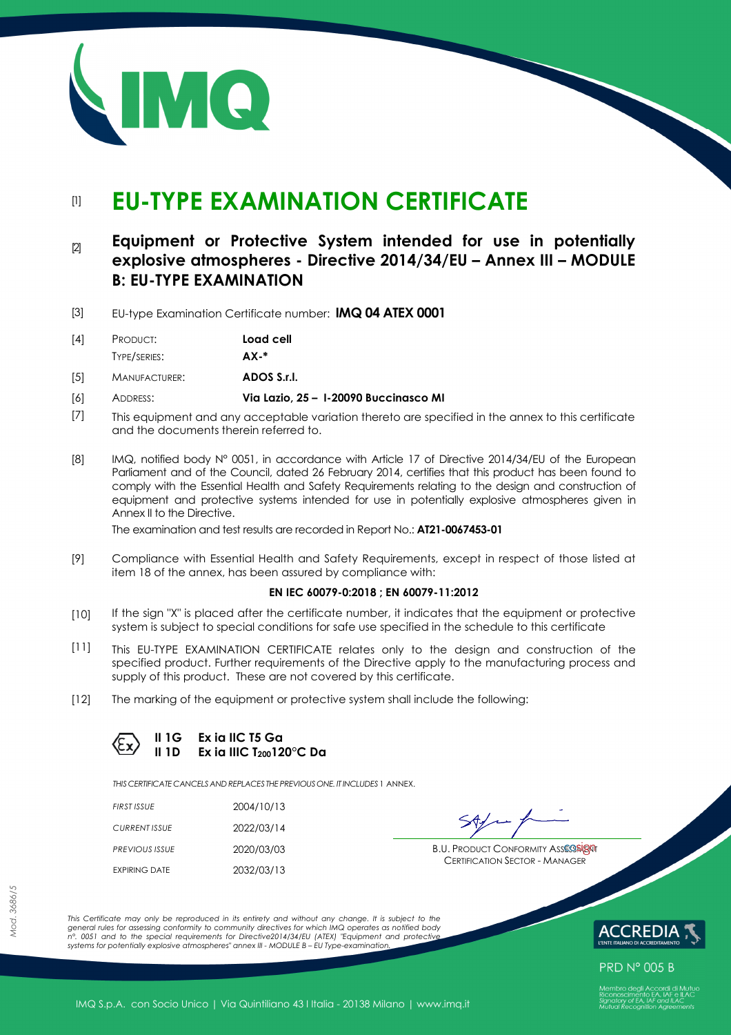

# [1] **EU-TYPE EXAMINATION CERTIFICATE**

# [2] **Equipment or Protective System intended for use in potentially explosive atmospheres - Directive 2014/34/EU – Annex III – MODULE B: EU-TYPE EXAMINATION**

[3] EU-type Examination Certificate number: **IMQ 04 ATEX 0001**

| $[4]$ | PRODUCT:     | Load cell   |
|-------|--------------|-------------|
|       | TYPE/SERIES: | <b>AX-*</b> |

[5] MANUFACTURER: **ADOS S.r.l.**

- [6] ADDRESS: **Via Lazio, 25 I-20090 Buccinasco MI**
- [7] This equipment and any acceptable variation thereto are specified in the annex to this certificate and the documents therein referred to.
- [8] IMQ, notified body N° 0051, in accordance with Article 17 of Directive 2014/34/EU of the European Parliament and of the Council, dated 26 February 2014, certifies that this product has been found to comply with the Essential Health and Safety Requirements relating to the design and construction of equipment and protective systems intended for use in potentially explosive atmospheres given in Annex II to the Directive.

The examination and test results are recorded in Report No.: **AT21-0067453-01**

[9] Compliance with Essential Health and Safety Requirements, except in respect of those listed at item 18 of the annex, has been assured by compliance with:

#### **EN IEC 60079-0:2018 ; EN 60079-11:2012**

- [10] If the sign "X" is placed after the certificate number, it indicates that the equipment or protective system is subject to special conditions for safe use specified in the schedule to this certificate
- [11] This EU-TYPE EXAMINATION CERTIFICATE relates only to the design and construction of the specified product. Further requirements of the Directive apply to the manufacturing process and supply of this product. These are not covered by this certificate.
- [12] The marking of the equipment or protective system shall include the following:

**II 1G Ex ia IIC T5 Ga II 1D Ex ia IIIC T200120°C Da**

*THIS CERTIFICATE CANCELS ANDREPLACES THE PREVIOUS ONE. IT INCLUDES* 1 ANNEX.

| FIRST ISSUE          | 2004/10/13 |
|----------------------|------------|
| CURRENT ISSUE        | 2022/03/14 |
| PREVIOUS ISSUE       | 2020/03/03 |
| <b>EXPIRING DATE</b> | 2032/03/13 |

**PREVIOUS ISSUE** 2020/03/03 **B.U. PRODUCT CONFORMITY ASSESSMENT** CERTIFICATION SECTOR - MANAGER

*This Certificate may only be reproduced in its entirety and without any change. It is subject to the general rules for assessing conformity to community directives for which IMQ operates as notified body n°. 0051 and to the special requirements for Directive2014/34/EU (ATEX) "Equipment and protective systems for potentially explosive atmospheres" annex III - MODULE B – EU Type-examination.* 



**PRD N° 005 B**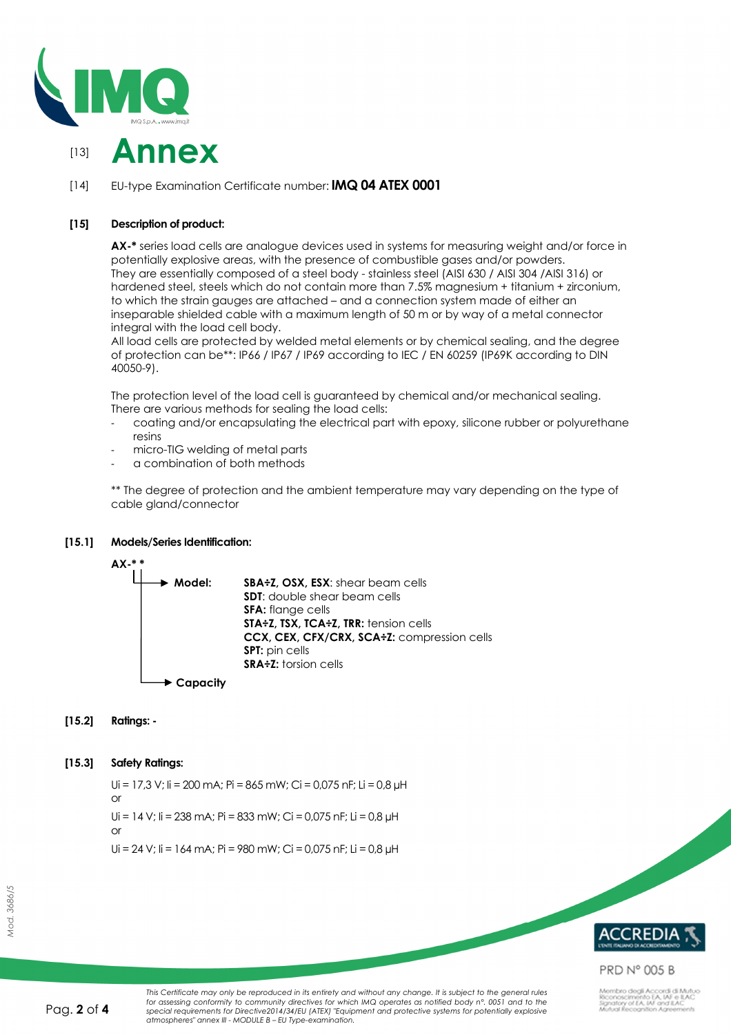



# [14] EU-type Examination Certificate number: **IMQ 04 ATEX 0001**

# **[15] Description of product:**

**AX-\*** series load cells are analogue devices used in systems for measuring weight and/or force in potentially explosive areas, with the presence of combustible gases and/or powders. They are essentially composed of a steel body - stainless steel (AISI 630 / AISI 304 /AISI 316) or hardened steel, steels which do not contain more than 7.5% magnesium + titanium + zirconium, to which the strain gauges are attached – and a connection system made of either an inseparable shielded cable with a maximum length of 50 m or by way of a metal connector integral with the load cell body.

All load cells are protected by welded metal elements or by chemical sealing, and the degree of protection can be\*\*: IP66 / IP67 / IP69 according to IEC / EN 60259 (IP69K according to DIN 40050-9).

The protection level of the load cell is guaranteed by chemical and/or mechanical sealing. There are various methods for sealing the load cells:

- coating and/or encapsulating the electrical part with epoxy, silicone rubber or polyurethane resins
- micro-TIG welding of metal parts
- a combination of both methods

\*\* The degree of protection and the ambient temperature may vary depending on the type of cable gland/connector

## **[15.1] Models/Series Identification:**



## **[15.2] Ratings: -**

## **[15.3] Safety Ratings:**

or

or

Ui = 17,3 V; Ii = 200 mA; Pi = 865 mW; Ci = 0,075 nF; Li = 0,8 µH

 $Ui = 14 V$ ;  $li = 238 mA$ ;  $Pi = 833 MW$ ;  $Ci = 0.075 nF$ ;  $Li = 0.8 \mu H$ 

Ui = 24 V; Ii = 164 mA; Pi = 980 mW; Ci = 0,075 nF; Li = 0,8 µH





# **PRD N° 005 B**

mbro degli Accordi di Mutuo<br>phoscimento EA, IAF e ILAC<br>atory of EA, IAF and ILAC<br>ual Recognition Agreements

This Certificate may only be reproduced in its entirety and without any change. It is subject to the general rules for assessing conformity to community directives for which IMQ operates as notified body n°. 0051 and to the<br>special requirements for Directive2014/34/EU (ATEX) "Equipment and protective systems for potentially explosive *atmospheres" annex III - MODULE B – EU Type-examination.*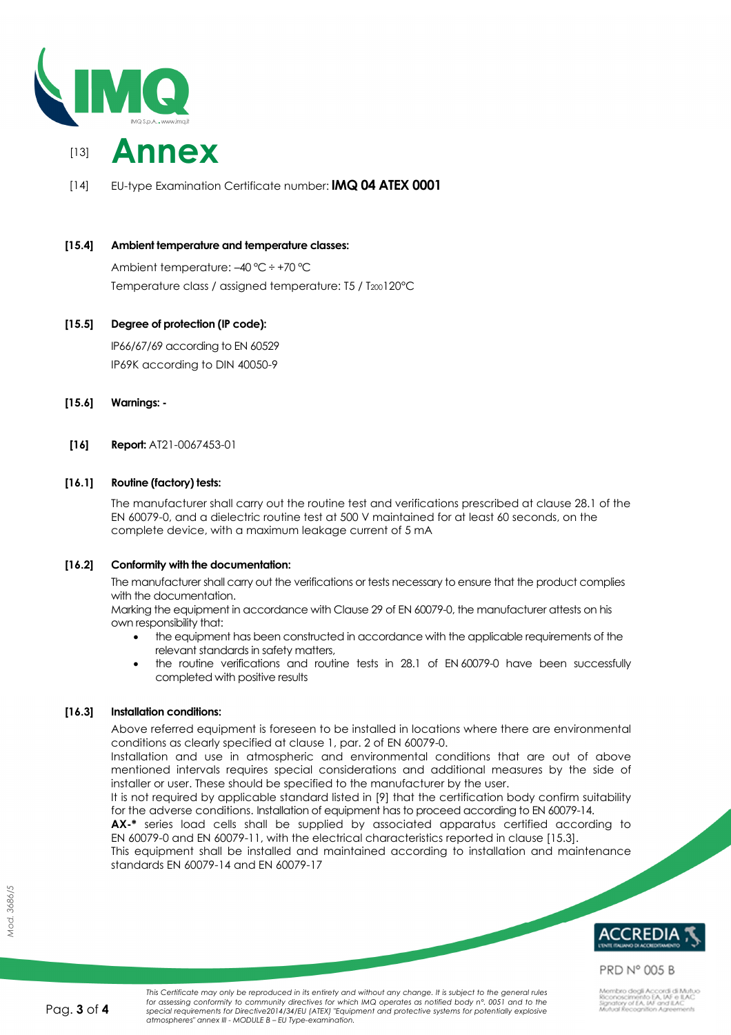



[14] EU-type Examination Certificate number: **IMQ 04 ATEX 0001**

# **[15.4] Ambient temperature and temperature classes:**

Ambient temperature: –40 °C ÷ +70 °C Temperature class / assigned temperature: T5 / T<sub>200</sub>120°C

# **[15.5] Degree of protection (IP code):**

IP66/67/69 according to EN 60529 IP69K according to DIN 40050-9

- **[15.6] Warnings:**
- **[16] Report:** AT21-0067453-01

# **[16.1] Routine (factory) tests:**

The manufacturer shall carry out the routine test and verifications prescribed at clause 28.1 of the EN 60079-0, and a dielectric routine test at 500 V maintained for at least 60 seconds, on the complete device, with a maximum leakage current of 5 mA

## **[16.2] Conformity with the documentation:**

The manufacturer shall carry out the verifications or tests necessary to ensure that the product complies with the documentation.

Marking the equipment in accordance with Clause 29 of EN 60079-0, the manufacturer attests on his own responsibility that:

- the equipment has been constructed in accordance with the applicable requirements of the relevant standards in safety matters,
- the routine verifications and routine tests in 28.1 of EN 60079-0 have been successfully completed with positive results

## **[16.3] Installation conditions:**

Above referred equipment is foreseen to be installed in locations where there are environmental conditions as clearly specified at clause 1, par. 2 of EN 60079-0.

Installation and use in atmospheric and environmental conditions that are out of above mentioned intervals requires special considerations and additional measures by the side of installer or user. These should be specified to the manufacturer by the user.

It is not required by applicable standard listed in [9] that the certification body confirm suitability for the adverse conditions. Installation of equipment has to proceed according to EN 60079-14.

**AX-\*** series load cells shall be supplied by associated apparatus certified according to EN 60079-0 and EN 60079-11, with the electrical characteristics reported in clause [15.3].

This equipment shall be installed and maintained according to installation and maintenance standards EN 60079-14 and EN 60079-17

**REDI** 

# **PRD N° 005 B**

mbro degli Accordi di Mutua<br>xhoscimento EA, IAF e ILAC<br>atory of EA, IAF and ILAC<br>ual Recognition Agreements